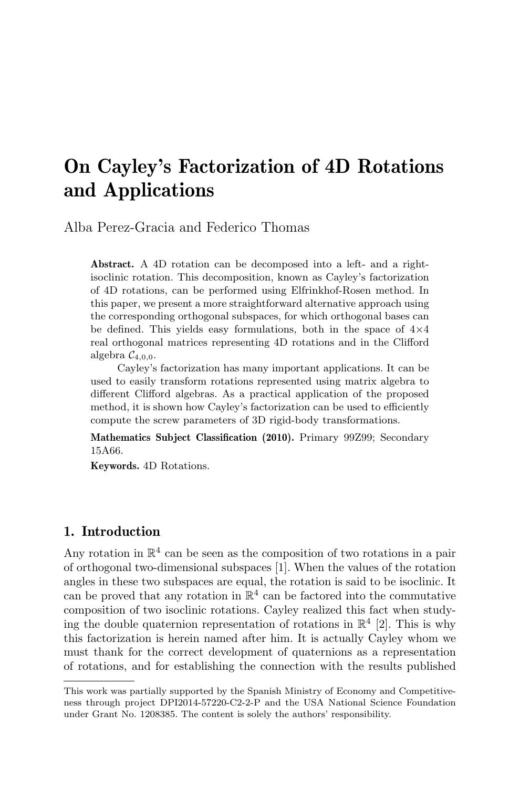# On Cayley's Factorization of 4D Rotations and Applications

Alba Perez-Gracia and Federico Thomas

Abstract. A 4D rotation can be decomposed into a left- and a rightisoclinic rotation. This decomposition, known as Cayley's factorization of 4D rotations, can be performed using Elfrinkhof-Rosen method. In this paper, we present a more straightforward alternative approach using the corresponding orthogonal subspaces, for which orthogonal bases can be defined. This yields easy formulations, both in the space of  $4\times4$ real orthogonal matrices representing 4D rotations and in the Clifford algebra  $C_{4,0,0}$ .

Cayley's factorization has many important applications. It can be used to easily transform rotations represented using matrix algebra to different Clifford algebras. As a practical application of the proposed method, it is shown how Cayley's factorization can be used to efficiently compute the screw parameters of 3D rigid-body transformations.

Mathematics Subject Classification (2010). Primary 99Z99; Secondary 15A66.

Keywords. 4D Rotations.

# 1. Introduction

Any rotation in  $\mathbb{R}^4$  can be seen as the composition of two rotations in a pair of orthogonal two-dimensional subspaces [1]. When the values of the rotation angles in these two subspaces are equal, the rotation is said to be isoclinic. It can be proved that any rotation in  $\mathbb{R}^4$  can be factored into the commutative composition of two isoclinic rotations. Cayley realized this fact when studying the double quaternion representation of rotations in  $\mathbb{R}^4$  [2]. This is why this factorization is herein named after him. It is actually Cayley whom we must thank for the correct development of quaternions as a representation of rotations, and for establishing the connection with the results published

This work was partially supported by the Spanish Ministry of Economy and Competitiveness through project DPI2014-57220-C2-2-P and the USA National Science Foundation under Grant No. 1208385. The content is solely the authors' responsibility.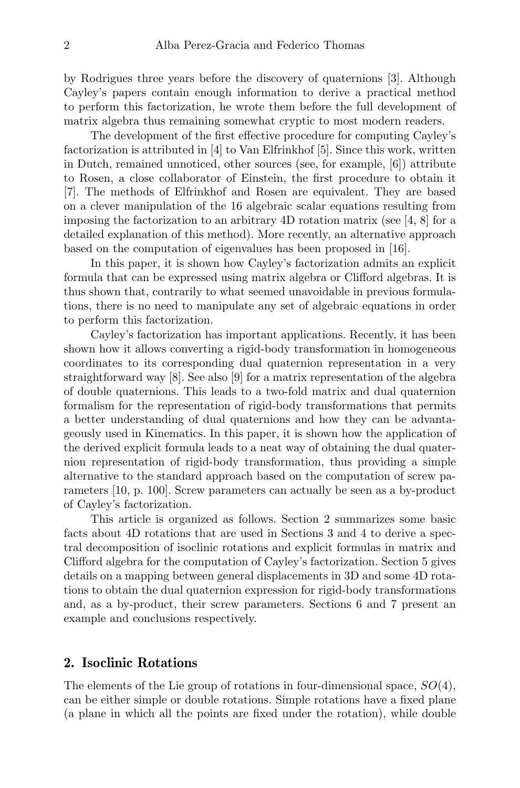by Rodrigues three years before the discovery of quaternions [3]. Although Cayley's papers contain enough information to derive a practical method to perform this factorization, he wrote them before the full development of matrix algebra thus remaining somewhat cryptic to most modern readers.

The development of the first effective procedure for computing Cayley's factorization is attributed in [4] to Van Elfrinkhof [5]. Since this work, written in Dutch, remained unnoticed, other sources (see, for example, [6]) attribute to Rosen, a close collaborator of Einstein, the first procedure to obtain it [7]. The methods of Elfrinkhof and Rosen are equivalent. They are based on a clever manipulation of the 16 algebraic scalar equations resulting from imposing the factorization to an arbitrary  $4D$  rotation matrix (see [4, 8] for a detailed explanation of this method). More recently, an alternative approach based on the computation of eigenvalues has been proposed in [16].

In this paper, it is shown how Cayley's factorization admits an explicit formula that can be expressed using matrix algebra or Clifford algebras. It is thus shown that, contrarily to what seemed unavoidable in previous formulations, there is no need to manipulate any set of algebraic equations in order to perform this factorization.

Cayley's factorization has important applications. Recently, it has been shown how it allows converting a rigid-body transformation in homogeneous coordinates to its corresponding dual quaternion representation in a very straightforward way [8]. See also [9] for a matrix representation of the algebra of double quaternions. This leads to a two-fold matrix and dual quaternion formalism for the representation of rigid-body transformations that permits a better understanding of dual quaternions and how they can be advantageously used in Kinematics. In this paper, it is shown how the application of the derived explicit formula leads to a neat way of obtaining the dual quaternion representation of rigid-body transformation, thus providing a simple alternative to the standard approach based on the computation of screw parameters [10, p. 100]. Screw parameters can actually be seen as a by-product of Cayley's factorization.

This article is organized as follows. Section 2 summarizes some basic facts about 4D rotations that are used in Sections 3 and 4 to derive a spectral decomposition of isoclinic rotations and explicit formulas in matrix and Clifford algebra for the computation of Cayley's factorization. Section 5 gives details on a mapping between general displacements in 3D and some 4D rotations to obtain the dual quaternion expression for rigid-body transformations and, as a by-product, their screw parameters. Sections 6 and 7 present an example and conclusions respectively.

# 2. Isoclinic Rotations

The elements of the Lie group of rotations in four-dimensional space,  $SO(4)$ , can be either simple or double rotations. Simple rotations have a fixed plane (a plane in which all the points are fixed under the rotation), while double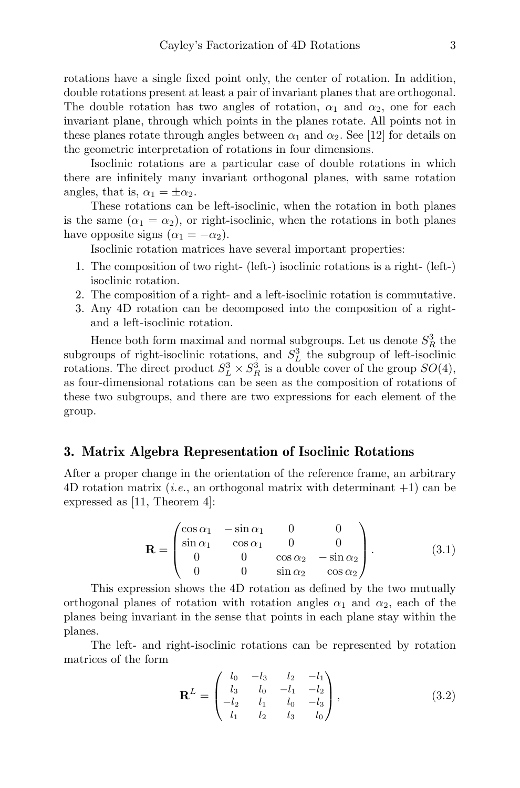rotations have a single fixed point only, the center of rotation. In addition, double rotations present at least a pair of invariant planes that are orthogonal. The double rotation has two angles of rotation,  $\alpha_1$  and  $\alpha_2$ , one for each invariant plane, through which points in the planes rotate. All points not in these planes rotate through angles between  $\alpha_1$  and  $\alpha_2$ . See [12] for details on the geometric interpretation of rotations in four dimensions.

Isoclinic rotations are a particular case of double rotations in which there are infinitely many invariant orthogonal planes, with same rotation angles, that is,  $\alpha_1 = \pm \alpha_2$ .

These rotations can be left-isoclinic, when the rotation in both planes is the same  $(\alpha_1 = \alpha_2)$ , or right-isoclinic, when the rotations in both planes have opposite signs  $(\alpha_1 = -\alpha_2)$ .

Isoclinic rotation matrices have several important properties:

- 1. The composition of two right- (left-) isoclinic rotations is a right- (left-) isoclinic rotation.
- 2. The composition of a right- and a left-isoclinic rotation is commutative.
- 3. Any 4D rotation can be decomposed into the composition of a rightand a left-isoclinic rotation.

Hence both form maximal and normal subgroups. Let us denote  $S_R^3$  the subgroups of right-isoclinic rotations, and  $S<sub>L</sub><sup>3</sup>$  the subgroup of left-isoclinic rotations. The direct product  $S_L^3 \times S_R^3$  is a double cover of the group  $SO(4)$ , as four-dimensional rotations can be seen as the composition of rotations of these two subgroups, and there are two expressions for each element of the group.

# 3. Matrix Algebra Representation of Isoclinic Rotations

After a proper change in the orientation of the reference frame, an arbitrary 4D rotation matrix (*i.e.*, an orthogonal matrix with determinant  $+1$ ) can be expressed as [11, Theorem 4]:

$$
\mathbf{R} = \begin{pmatrix} \cos \alpha_1 & -\sin \alpha_1 & 0 & 0 \\ \sin \alpha_1 & \cos \alpha_1 & 0 & 0 \\ 0 & 0 & \cos \alpha_2 & -\sin \alpha_2 \\ 0 & 0 & \sin \alpha_2 & \cos \alpha_2 \end{pmatrix} . \tag{3.1}
$$

This expression shows the 4D rotation as defined by the two mutually orthogonal planes of rotation with rotation angles  $\alpha_1$  and  $\alpha_2$ , each of the planes being invariant in the sense that points in each plane stay within the planes.

The left- and right-isoclinic rotations can be represented by rotation matrices of the form

$$
\mathbf{R}^{L} = \begin{pmatrix} l_{0} & -l_{3} & l_{2} & -l_{1} \\ l_{3} & l_{0} & -l_{1} & -l_{2} \\ -l_{2} & l_{1} & l_{0} & -l_{3} \\ l_{1} & l_{2} & l_{3} & l_{0} \end{pmatrix}, \tag{3.2}
$$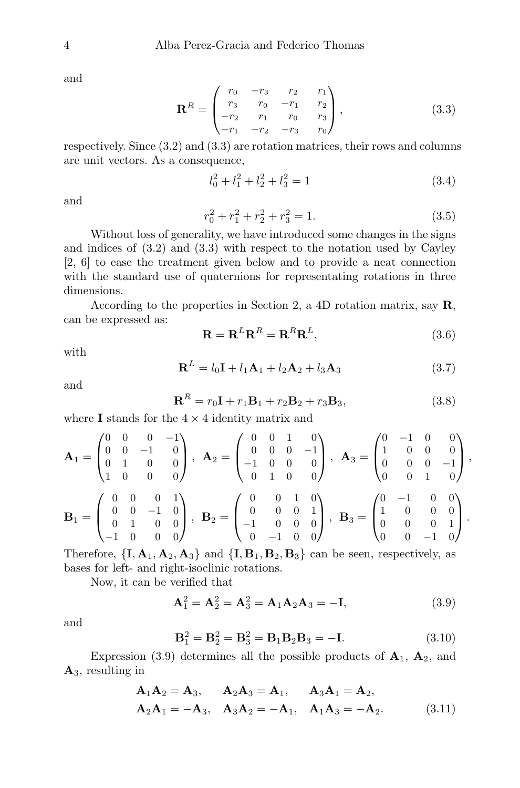and

$$
\mathbf{R}^{R} = \begin{pmatrix} r_0 & -r_3 & r_2 & r_1 \\ r_3 & r_0 & -r_1 & r_2 \\ -r_2 & r_1 & r_0 & r_3 \\ -r_1 & -r_2 & -r_3 & r_0 \end{pmatrix},
$$
(3.3)

respectively. Since (3.2) and (3.3) are rotation matrices, their rows and columns are unit vectors. As a consequence,

$$
l_0^2 + l_1^2 + l_2^2 + l_3^2 = 1 \tag{3.4}
$$

and

$$
r_0^2 + r_1^2 + r_2^2 + r_3^2 = 1.
$$
 (3.5)

Without loss of generality, we have introduced some changes in the signs and indices of (3.2) and (3.3) with respect to the notation used by Cayley [2, 6] to ease the treatment given below and to provide a neat connection with the standard use of quaternions for representating rotations in three dimensions.

According to the properties in Section 2, a 4D rotation matrix, say  $\mathbf{R}$ , can be expressed as:

$$
\mathbf{R} = \mathbf{R}^L \mathbf{R}^R = \mathbf{R}^R \mathbf{R}^L, \tag{3.6}
$$

with

$$
\mathbf{R}^{L} = l_0 \mathbf{I} + l_1 \mathbf{A}_1 + l_2 \mathbf{A}_2 + l_3 \mathbf{A}_3 \tag{3.7}
$$

and

$$
\mathbf{R}^R = r_0 \mathbf{I} + r_1 \mathbf{B}_1 + r_2 \mathbf{B}_2 + r_3 \mathbf{B}_3, \tag{3.8}
$$

where **I** stands for the  $4 \times 4$  identity matrix and

$$
\mathbf{A}_1 = \begin{pmatrix} 0 & 0 & 0 & -1 \\ 0 & 0 & -1 & 0 \\ 0 & 1 & 0 & 0 \\ 1 & 0 & 0 & 0 \end{pmatrix}, \ \ \mathbf{A}_2 = \begin{pmatrix} 0 & 0 & 1 & 0 \\ 0 & 0 & 0 & -1 \\ -1 & 0 & 0 & 0 \\ 0 & 1 & 0 & 0 \end{pmatrix}, \ \ \mathbf{A}_3 = \begin{pmatrix} 0 & -1 & 0 & 0 \\ 1 & 0 & 0 & 0 \\ 0 & 0 & 0 & -1 \\ 0 & 0 & 1 & 0 \end{pmatrix},
$$

$$
\mathbf{B}_1 = \begin{pmatrix} 0 & 0 & 0 & 1 \\ 0 & 0 & -1 & 0 \\ 0 & 1 & 0 & 0 \\ -1 & 0 & 0 & 0 \end{pmatrix}, \ \ \mathbf{B}_2 = \begin{pmatrix} 0 & 0 & 1 & 0 \\ 0 & 0 & 0 & 1 \\ -1 & 0 & 0 & 0 \\ 0 & -1 & 0 & 0 \end{pmatrix}, \ \ \mathbf{B}_3 = \begin{pmatrix} 0 & -1 & 0 & 0 \\ 1 & 0 & 0 & 0 \\ 0 & 0 & 0 & 1 \\ 0 & 0 & -1 & 0 \end{pmatrix}.
$$

Therefore,  $\{I, A_1, A_2, A_3\}$  and  $\{I, B_1, B_2, B_3\}$  can be seen, respectively, as bases for left- and right-isoclinic rotations.

Now, it can be verified that

$$
A_1^2 = A_2^2 = A_3^2 = A_1 A_2 A_3 = -I,
$$
\n(3.9)

and

$$
\mathbf{B}_1^2 = \mathbf{B}_2^2 = \mathbf{B}_3^2 = \mathbf{B}_1 \mathbf{B}_2 \mathbf{B}_3 = -\mathbf{I}.\tag{3.10}
$$

Expression (3.9) determines all the possible products of  $A_1$ ,  $A_2$ , and  $\mathbf{A}_3$ , resulting in

$$
\mathbf{A}_1 \mathbf{A}_2 = \mathbf{A}_3, \quad \mathbf{A}_2 \mathbf{A}_3 = \mathbf{A}_1, \quad \mathbf{A}_3 \mathbf{A}_1 = \mathbf{A}_2, \n\mathbf{A}_2 \mathbf{A}_1 = -\mathbf{A}_3, \quad \mathbf{A}_3 \mathbf{A}_2 = -\mathbf{A}_1, \quad \mathbf{A}_1 \mathbf{A}_3 = -\mathbf{A}_2.
$$
\n(3.11)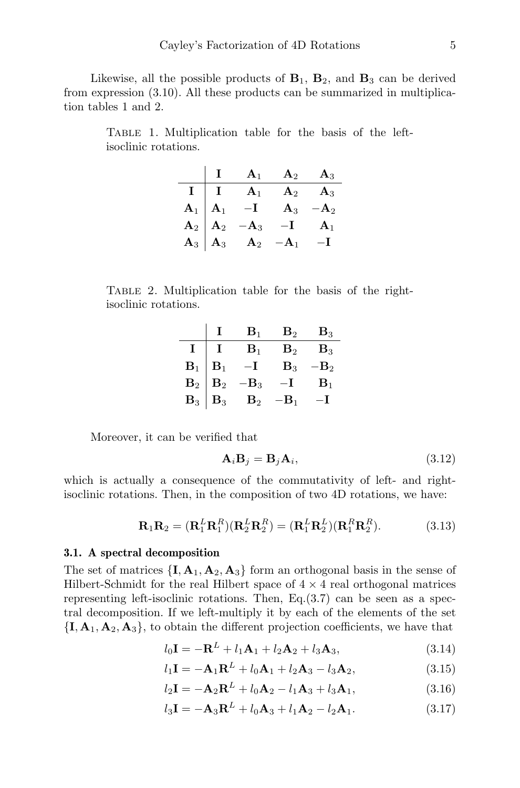Likewise, all the possible products of  $B_1$ ,  $B_2$ , and  $B_3$  can be derived from expression (3.10). All these products can be summarized in multiplication tables 1 and 2.

Table 1. Multiplication table for the basis of the leftisoclinic rotations.

|                                                                                            | $\mathbf{A}_1$ | ${\bf A}_2$     | $A_3$            |
|--------------------------------------------------------------------------------------------|----------------|-----------------|------------------|
| $I \mid I$                                                                                 | A <sub>1</sub> | ${\bf A}_2$     | ${\bf A}_3$      |
|                                                                                            | $-\mathbf{I}$  | $A_3$           | – $\mathbf{A}_2$ |
| $\begin{array}{c c} \mathbf{A}_1 & \mathbf{A}_1 \ \mathbf{A}_2 & \mathbf{A}_2 \end{array}$ | ${\bf A}_3$    | $-\mathbf{I}$   | A <sub>1</sub>   |
| ${\bf A}_3 \bigm  {\bf A}_3$                                                               | $\mathbf{A}_2$ | $-\mathbf{A}_1$ | –1               |

Table 2. Multiplication table for the basis of the rightisoclinic rotations.

|                                                                             |                           | $\mathbf{B}_1$         | $\mathbf{B}_2$ | $B_3$          |
|-----------------------------------------------------------------------------|---------------------------|------------------------|----------------|----------------|
| $\mathbf{I}$                                                                |                           | $\mathbf{B}_1$         | $\mathbf{B}_2$ | $B_3$          |
| $\begin{array}{c} \mathbf{B}_1 \\ \mathbf{B}_2 \\ \mathbf{B}_3 \end{array}$ | $\mathbf{B}_1$            |                        | $\mathbf{B}_3$ | -B2            |
|                                                                             | $\mathbf{B}_2$            | $\cdot$ B <sub>3</sub> | $\mathbf{I}$   | $\mathbf{B}_1$ |
|                                                                             | $\overline{\mathbf{B}}_3$ | $\mathbf{B}_2$         | -B1            |                |

Moreover, it can be verified that

$$
\mathbf{A}_i \mathbf{B}_j = \mathbf{B}_j \mathbf{A}_i,\tag{3.12}
$$

which is actually a consequence of the commutativity of left- and rightisoclinic rotations. Then, in the composition of two 4D rotations, we have:

$$
\mathbf{R}_1 \mathbf{R}_2 = (\mathbf{R}_1^L \mathbf{R}_1^R)(\mathbf{R}_2^L \mathbf{R}_2^R) = (\mathbf{R}_1^L \mathbf{R}_2^L)(\mathbf{R}_1^R \mathbf{R}_2^R). \tag{3.13}
$$

#### 3.1. A spectral decomposition

The set of matrices  $\{I, A_1, A_2, A_3\}$  form an orthogonal basis in the sense of Hilbert-Schmidt for the real Hilbert space of  $4 \times 4$  real orthogonal matrices representing left-isoclinic rotations. Then,  $Eq.(3.7)$  can be seen as a spectral decomposition. If we left-multiply it by each of the elements of the set  ${I, A<sub>1</sub>, A<sub>2</sub>, A<sub>3</sub>},$  to obtain the different projection coefficients, we have that

$$
l_0\mathbf{I} = -\mathbf{R}^L + l_1\mathbf{A}_1 + l_2\mathbf{A}_2 + l_3\mathbf{A}_3, \tag{3.14}
$$

$$
l_1\mathbf{I} = -\mathbf{A}_1\mathbf{R}^L + l_0\mathbf{A}_1 + l_2\mathbf{A}_3 - l_3\mathbf{A}_2, \tag{3.15}
$$

$$
l_2\mathbf{I} = -\mathbf{A}_2\mathbf{R}^L + l_0\mathbf{A}_2 - l_1\mathbf{A}_3 + l_3\mathbf{A}_1, \tag{3.16}
$$

$$
l_3\mathbf{I} = -\mathbf{A}_3\mathbf{R}^L + l_0\mathbf{A}_3 + l_1\mathbf{A}_2 - l_2\mathbf{A}_1.
$$
 (3.17)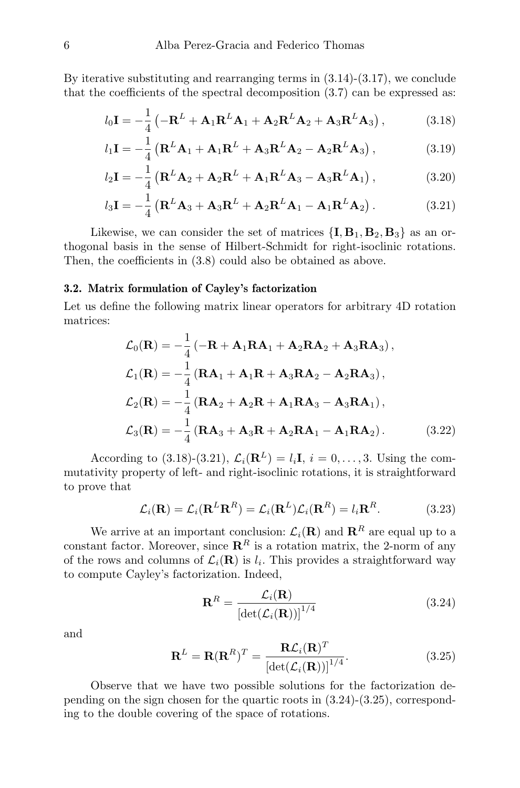By iterative substituting and rearranging terms in  $(3.14)-(3.17)$ , we conclude that the coefficients of the spectral decomposition (3.7) can be expressed as:

$$
l_0 \mathbf{I} = -\frac{1}{4} \left( -\mathbf{R}^L + \mathbf{A}_1 \mathbf{R}^L \mathbf{A}_1 + \mathbf{A}_2 \mathbf{R}^L \mathbf{A}_2 + \mathbf{A}_3 \mathbf{R}^L \mathbf{A}_3 \right),
$$
 (3.18)

$$
l_1 \mathbf{I} = -\frac{1}{4} \left( \mathbf{R}^L \mathbf{A}_1 + \mathbf{A}_1 \mathbf{R}^L + \mathbf{A}_3 \mathbf{R}^L \mathbf{A}_2 - \mathbf{A}_2 \mathbf{R}^L \mathbf{A}_3 \right),
$$
 (3.19)

$$
l_2\mathbf{I} = -\frac{1}{4} \left( \mathbf{R}^L \mathbf{A}_2 + \mathbf{A}_2 \mathbf{R}^L + \mathbf{A}_1 \mathbf{R}^L \mathbf{A}_3 - \mathbf{A}_3 \mathbf{R}^L \mathbf{A}_1 \right),
$$
 (3.20)

$$
l_3\mathbf{I} = -\frac{1}{4} \left( \mathbf{R}^L \mathbf{A}_3 + \mathbf{A}_3 \mathbf{R}^L + \mathbf{A}_2 \mathbf{R}^L \mathbf{A}_1 - \mathbf{A}_1 \mathbf{R}^L \mathbf{A}_2 \right).
$$
 (3.21)

Likewise, we can consider the set of matrices  $\{I, B_1, B_2, B_3\}$  as an orthogonal basis in the sense of Hilbert-Schmidt for right-isoclinic rotations. Then, the coefficients in (3.8) could also be obtained as above.

#### 3.2. Matrix formulation of Cayley's factorization

Let us define the following matrix linear operators for arbitrary 4D rotation matrices:

$$
\mathcal{L}_0(\mathbf{R}) = -\frac{1}{4} \left( -\mathbf{R} + \mathbf{A}_1 \mathbf{R} \mathbf{A}_1 + \mathbf{A}_2 \mathbf{R} \mathbf{A}_2 + \mathbf{A}_3 \mathbf{R} \mathbf{A}_3 \right),
$$
  
\n
$$
\mathcal{L}_1(\mathbf{R}) = -\frac{1}{4} \left( \mathbf{R} \mathbf{A}_1 + \mathbf{A}_1 \mathbf{R} + \mathbf{A}_3 \mathbf{R} \mathbf{A}_2 - \mathbf{A}_2 \mathbf{R} \mathbf{A}_3 \right),
$$
  
\n
$$
\mathcal{L}_2(\mathbf{R}) = -\frac{1}{4} \left( \mathbf{R} \mathbf{A}_2 + \mathbf{A}_2 \mathbf{R} + \mathbf{A}_1 \mathbf{R} \mathbf{A}_3 - \mathbf{A}_3 \mathbf{R} \mathbf{A}_1 \right),
$$
  
\n
$$
\mathcal{L}_3(\mathbf{R}) = -\frac{1}{4} \left( \mathbf{R} \mathbf{A}_3 + \mathbf{A}_3 \mathbf{R} + \mathbf{A}_2 \mathbf{R} \mathbf{A}_1 - \mathbf{A}_1 \mathbf{R} \mathbf{A}_2 \right).
$$
 (3.22)

According to (3.18)-(3.21),  $\mathcal{L}_i(\mathbf{R}^L) = l_i \mathbf{I}, i = 0, \ldots, 3$ . Using the commutativity property of left- and right-isoclinic rotations, it is straightforward to prove that

$$
\mathcal{L}_i(\mathbf{R}) = \mathcal{L}_i(\mathbf{R}^L \mathbf{R}^R) = \mathcal{L}_i(\mathbf{R}^L) \mathcal{L}_i(\mathbf{R}^R) = l_i \mathbf{R}^R.
$$
 (3.23)

We arrive at an important conclusion:  $\mathcal{L}_i(\mathbf{R})$  and  $\mathbf{R}^R$  are equal up to a constant factor. Moreover, since  $\mathbb{R}^R$  is a rotation matrix, the 2-norm of any of the rows and columns of  $\mathcal{L}_i(\mathbf{R})$  is  $l_i$ . This provides a straightforward way to compute Cayley's factorization. Indeed,

$$
\mathbf{R}^R = \frac{\mathcal{L}_i(\mathbf{R})}{\left[\det(\mathcal{L}_i(\mathbf{R}))\right]^{1/4}}
$$
(3.24)

and

$$
\mathbf{R}^{L} = \mathbf{R}(\mathbf{R}^{R})^{T} = \frac{\mathbf{R}\mathcal{L}_{i}(\mathbf{R})^{T}}{\left[\det(\mathcal{L}_{i}(\mathbf{R}))\right]^{1/4}}.
$$
 (3.25)

Observe that we have two possible solutions for the factorization depending on the sign chosen for the quartic roots in  $(3.24)-(3.25)$ , corresponding to the double covering of the space of rotations.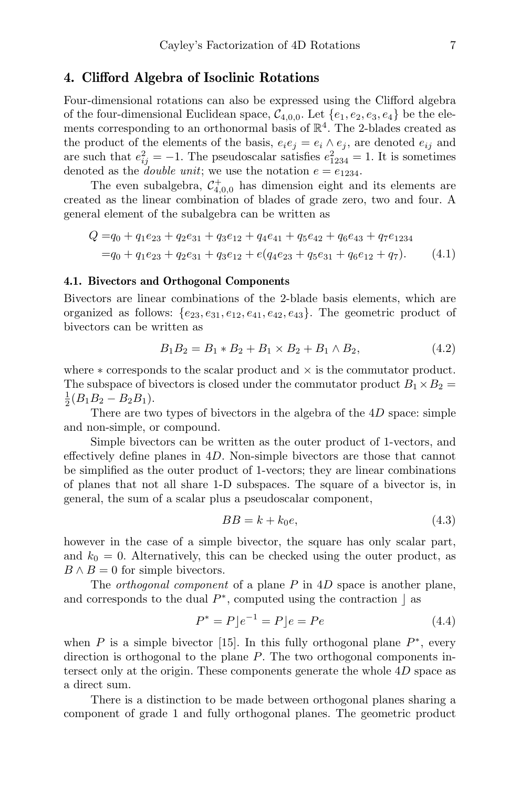## 4. Clifford Algebra of Isoclinic Rotations

Four-dimensional rotations can also be expressed using the Clifford algebra of the four-dimensional Euclidean space,  $C_{4,0,0}$ . Let  $\{e_1, e_2, e_3, e_4\}$  be the elements corresponding to an orthonormal basis of  $\mathbb{R}^4$ . The 2-blades created as the product of the elements of the basis,  $e_i e_j = e_i \wedge e_j$ , are denoted  $e_{ij}$  and are such that  $e_{ij}^2 = -1$ . The pseudoscalar satisfies  $e_{1234}^2 = 1$ . It is sometimes denoted as the *double unit*; we use the notation  $e = e_{1234}$ .

The even subalgebra,  $\mathcal{C}_{4,0,0}^+$  has dimension eight and its elements are created as the linear combination of blades of grade zero, two and four. A general element of the subalgebra can be written as

$$
Q = q_0 + q_1 e_{23} + q_2 e_{31} + q_3 e_{12} + q_4 e_{41} + q_5 e_{42} + q_6 e_{43} + q_7 e_{1234}
$$
  
=  $q_0 + q_1 e_{23} + q_2 e_{31} + q_3 e_{12} + e(q_4 e_{23} + q_5 e_{31} + q_6 e_{12} + q_7).$  (4.1)

#### 4.1. Bivectors and Orthogonal Components

Bivectors are linear combinations of the 2-blade basis elements, which are organized as follows:  $\{e_{23}, e_{31}, e_{12}, e_{41}, e_{42}, e_{43}\}$ . The geometric product of bivectors can be written as

$$
B_1 B_2 = B_1 * B_2 + B_1 \times B_2 + B_1 \wedge B_2, \tag{4.2}
$$

where  $*$  corresponds to the scalar product and  $\times$  is the commutator product. The subspace of bivectors is closed under the commutator product  $B_1 \times B_2 =$  $\frac{1}{2}(B_1B_2-B_2B_1).$ 

There are two types of bivectors in the algebra of the 4D space: simple and non-simple, or compound.

Simple bivectors can be written as the outer product of 1-vectors, and effectively define planes in 4D. Non-simple bivectors are those that cannot be simplified as the outer product of 1-vectors; they are linear combinations of planes that not all share 1-D subspaces. The square of a bivector is, in general, the sum of a scalar plus a pseudoscalar component,

$$
BB = k + k_0 e,\tag{4.3}
$$

however in the case of a simple bivector, the square has only scalar part, and  $k_0 = 0$ . Alternatively, this can be checked using the outer product, as  $B \wedge B = 0$  for simple bivectors.

The *orthogonal component* of a plane  $P$  in  $4D$  space is another plane, and corresponds to the dual  $P^*$ , computed using the contraction  $\Box$  as

$$
P^* = P[e^{-1} = P]e = Pe \tag{4.4}
$$

when  $P$  is a simple bivector [15]. In this fully orthogonal plane  $P^*$ , every direction is orthogonal to the plane P. The two orthogonal components intersect only at the origin. These components generate the whole 4D space as a direct sum.

There is a distinction to be made between orthogonal planes sharing a component of grade 1 and fully orthogonal planes. The geometric product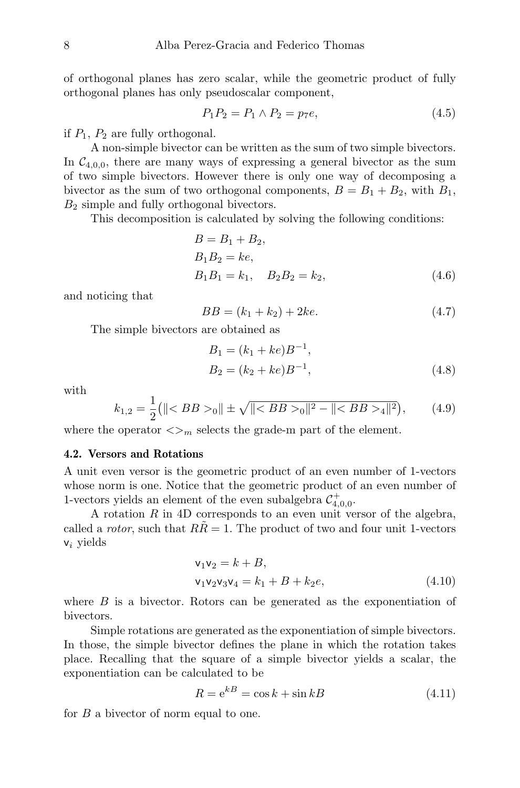of orthogonal planes has zero scalar, while the geometric product of fully orthogonal planes has only pseudoscalar component,

$$
P_1 P_2 = P_1 \wedge P_2 = p_7 e,\tag{4.5}
$$

if  $P_1$ ,  $P_2$  are fully orthogonal.

A non-simple bivector can be written as the sum of two simple bivectors. In  $C_{4,0,0}$ , there are many ways of expressing a general bivector as the sum of two simple bivectors. However there is only one way of decomposing a bivector as the sum of two orthogonal components,  $B = B_1 + B_2$ , with  $B_1$ ,  $B_2$  simple and fully orthogonal bivectors.

This decomposition is calculated by solving the following conditions:

$$
B = B_1 + B_2,
$$
  
\n
$$
B_1 B_2 = ke,
$$
  
\n
$$
B_1 B_1 = k_1, \quad B_2 B_2 = k_2,
$$
\n(4.6)

and noticing that

$$
BB = (k_1 + k_2) + 2ke. \t\t(4.7)
$$

The simple bivectors are obtained as

$$
B_1 = (k_1 + ke)B^{-1},
$$
  
\n
$$
B_2 = (k_2 + ke)B^{-1},
$$
\n(4.8)

with

$$
k_{1,2} = \frac{1}{2} ( \| \langle BB \rangle_0 \| \pm \sqrt{\| \langle BB \rangle_0 \|^2 - \| \langle BB \rangle_4 \|^2} ), \qquad (4.9)
$$

where the operator  $\langle \rangle_m$  selects the grade-m part of the element.

#### 4.2. Versors and Rotations

A unit even versor is the geometric product of an even number of 1-vectors whose norm is one. Notice that the geometric product of an even number of 1-vectors yields an element of the even subalgebra  $\mathcal{C}^+_{4,0,0}$ .

A rotation  $R$  in 4D corresponds to an even unit versor of the algebra, called a rotor, such that  $R\ddot{R} = 1$ . The product of two and four unit 1-vectors  $v_i$  yields

$$
\begin{aligned} \mathsf{v}_1 \mathsf{v}_2 &= k + B, \\ \mathsf{v}_1 \mathsf{v}_2 \mathsf{v}_3 \mathsf{v}_4 &= k_1 + B + k_2 e, \end{aligned} \tag{4.10}
$$

where  $B$  is a bivector. Rotors can be generated as the exponentiation of bivectors.

Simple rotations are generated as the exponentiation of simple bivectors. In those, the simple bivector defines the plane in which the rotation takes place. Recalling that the square of a simple bivector yields a scalar, the exponentiation can be calculated to be

$$
R = e^{kB} = \cos k + \sin kB \tag{4.11}
$$

for B a bivector of norm equal to one.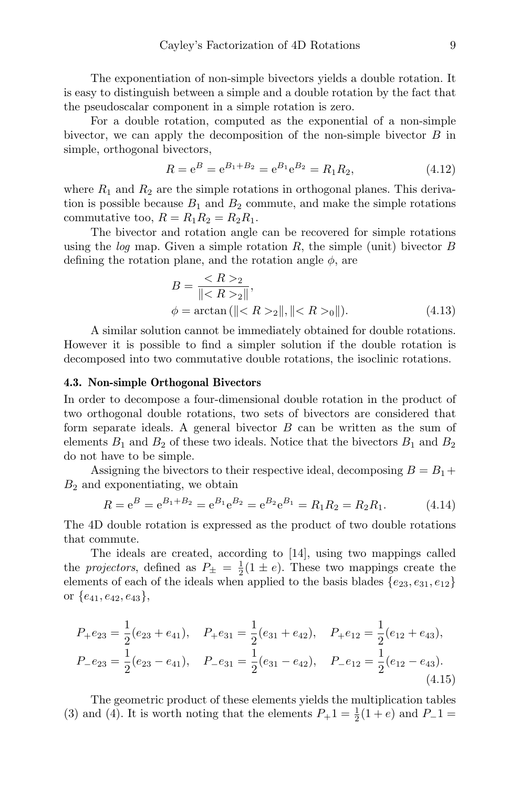The exponentiation of non-simple bivectors yields a double rotation. It is easy to distinguish between a simple and a double rotation by the fact that the pseudoscalar component in a simple rotation is zero.

For a double rotation, computed as the exponential of a non-simple bivector, we can apply the decomposition of the non-simple bivector  $B$  in simple, orthogonal bivectors,

$$
R = e^{B} = e^{B_1 + B_2} = e^{B_1} e^{B_2} = R_1 R_2,
$$
\n(4.12)

where  $R_1$  and  $R_2$  are the simple rotations in orthogonal planes. This derivation is possible because  $B_1$  and  $B_2$  commute, and make the simple rotations commutative too,  $R = R_1 R_2 = R_2 R_1$ .

The bivector and rotation angle can be recovered for simple rotations using the log map. Given a simple rotation R, the simple (unit) bivector B defining the rotation plane, and the rotation angle  $\phi$ , are

$$
B = \frac{_{2}}{\|_{2}\|},
$$
  
\n
$$
\phi = \arctan(\|_{2}\|, \|_{0}\|).
$$
 (4.13)

A similar solution cannot be immediately obtained for double rotations. However it is possible to find a simpler solution if the double rotation is decomposed into two commutative double rotations, the isoclinic rotations.

#### 4.3. Non-simple Orthogonal Bivectors

In order to decompose a four-dimensional double rotation in the product of two orthogonal double rotations, two sets of bivectors are considered that form separate ideals. A general bivector B can be written as the sum of elements  $B_1$  and  $B_2$  of these two ideals. Notice that the bivectors  $B_1$  and  $B_2$ do not have to be simple.

Assigning the bivectors to their respective ideal, decomposing  $B = B_1 +$  $B_2$  and exponentiating, we obtain

$$
R = e^{B} = e^{B_1 + B_2} = e^{B_1} e^{B_2} = e^{B_2} e^{B_1} = R_1 R_2 = R_2 R_1.
$$
 (4.14)

The 4D double rotation is expressed as the product of two double rotations that commute.

The ideals are created, according to [14], using two mappings called the *projectors*, defined as  $P_{\pm} = \frac{1}{2}(1 \pm e)$ . These two mappings create the elements of each of the ideals when applied to the basis blades  $\{e_{23}, e_{31}, e_{12}\}$ or  $\{e_{41}, e_{42}, e_{43}\},\$ 

$$
P_{+}e_{23} = \frac{1}{2}(e_{23} + e_{41}), \quad P_{+}e_{31} = \frac{1}{2}(e_{31} + e_{42}), \quad P_{+}e_{12} = \frac{1}{2}(e_{12} + e_{43}),
$$
  
\n
$$
P_{-}e_{23} = \frac{1}{2}(e_{23} - e_{41}), \quad P_{-}e_{31} = \frac{1}{2}(e_{31} - e_{42}), \quad P_{-}e_{12} = \frac{1}{2}(e_{12} - e_{43}).
$$
\n(4.15)

The geometric product of these elements yields the multiplication tables (3) and (4). It is worth noting that the elements  $P_+1 = \frac{1}{2}(1+e)$  and  $P_-1 =$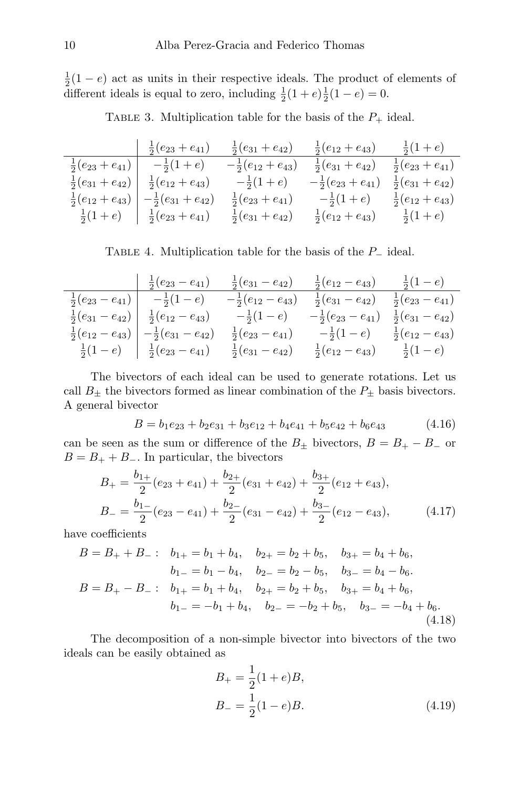$\frac{1}{2}(1-e)$  act as units in their respective ideals. The product of elements of different ideals is equal to zero, including  $\frac{1}{2}(1+e)\frac{1}{2}(1-e) = 0$ .

TABLE 3. Multiplication table for the basis of the  $P_+$  ideal.

| $-\frac{1}{2}(e_{23}+e_{41})$                                           | $\frac{1}{2}(e_{31}+e_{42})$  | $\frac{1}{2}(e_{12}+e_{43})$  | $rac{1}{2}(1+e)$              |
|-------------------------------------------------------------------------|-------------------------------|-------------------------------|-------------------------------|
| $\frac{1}{2}(e_{23}+e_{41})$ $-\frac{1}{2}(1+e)$                        | $-\frac{1}{2}(e_{12}+e_{43})$ | $\frac{1}{2}(e_{31}+e_{42})$  | $\frac{1}{2}(e_{23}+e_{41})$  |
| $\frac{1}{2}(e_{31}+e_{42}) \left  \frac{1}{2}(e_{12}+e_{43}) \right $  | $-\frac{1}{2}(1+e)$           | $-\frac{1}{2}(e_{23}+e_{41})$ | $-\frac{1}{2}(e_{31}+e_{42})$ |
| $\frac{1}{2}(e_{12}+e_{43})$ $\left(-\frac{1}{2}(e_{31}+e_{42})\right)$ | $\frac{1}{2}(e_{23}+e_{41})$  | $-\frac{1}{2}(1+e)$           | $\frac{1}{2}(e_{12}+e_{43})$  |
| $\frac{1}{2}(1+e)$ $\frac{1}{2}(e_{23}+e_{41})$                         | $\frac{1}{2}(e_{31}+e_{42})$  | $rac{1}{2}(e_{12}+e_{43})$    | $rac{1}{2}(1+e)$              |

TABLE 4. Multiplication table for the basis of the P<sub>−</sub> ideal.

| $-\frac{1}{2}(e_{23}-e_{41})$                                                             |                            | $\frac{1}{2}(e_{31}-e_{42})$ $\frac{1}{2}(e_{12}-e_{43})$ $\frac{1}{2}(1-e)$            |  |
|-------------------------------------------------------------------------------------------|----------------------------|-----------------------------------------------------------------------------------------|--|
| $\frac{1}{2}(e_{23}-e_{41})$ $-\frac{1}{2}(1-e)$                                          |                            | $-\frac{1}{2}(e_{12}-e_{43})$ $\frac{1}{2}(e_{31}-e_{42})$ $\frac{1}{2}(e_{23}-e_{41})$ |  |
| $\frac{1}{2}(e_{31}-e_{42}) \left  \frac{1}{2}(e_{12}-e_{43}) - \frac{1}{2}(1-e) \right $ |                            | $-\frac{1}{2}(e_{23}-e_{41}) \frac{1}{2}(e_{31}-e_{42})$                                |  |
| $\frac{1}{2}(e_{12}-e_{43})$ $\Big  -\frac{1}{2}(e_{31}-e_{42})\Big $                     |                            | $\frac{1}{2}(e_{23}-e_{41})$ $-\frac{1}{2}(1-e)$ $\frac{1}{2}(e_{12}-e_{43})$           |  |
| $\frac{1}{2}(1-e)$ $\frac{1}{2}(e_{23}-e_{41})$                                           | $rac{1}{2}(e_{31}-e_{42})$ | $\frac{1}{2}(e_{12}-e_{43})$ $\frac{1}{2}(1-e)$                                         |  |

The bivectors of each ideal can be used to generate rotations. Let us call  $B_{\pm}$  the bivectors formed as linear combination of the  $P_{\pm}$  basis bivectors. A general bivector

$$
B = b_1 e_{23} + b_2 e_{31} + b_3 e_{12} + b_4 e_{41} + b_5 e_{42} + b_6 e_{43}
$$
 (4.16)

can be seen as the sum or difference of the  $B_{\pm}$  bivectors,  $B = B_{+} - B_{-}$  or  $B = B<sub>+</sub> + B<sub>-</sub>$ . In particular, the bivectors

$$
B_{+} = \frac{b_{1+}}{2}(e_{23} + e_{41}) + \frac{b_{2+}}{2}(e_{31} + e_{42}) + \frac{b_{3+}}{2}(e_{12} + e_{43}),
$$
  
\n
$$
B_{-} = \frac{b_{1-}}{2}(e_{23} - e_{41}) + \frac{b_{2-}}{2}(e_{31} - e_{42}) + \frac{b_{3-}}{2}(e_{12} - e_{43}),
$$
\n(4.17)

have coefficients

$$
B = B_{+} + B_{-} : b_{1+} = b_{1} + b_{4}, b_{2+} = b_{2} + b_{5}, b_{3+} = b_{4} + b_{6},
$$
  
\n
$$
b_{1-} = b_{1} - b_{4}, b_{2-} = b_{2} - b_{5}, b_{3-} = b_{4} - b_{6}.
$$
  
\n
$$
B = B_{+} - B_{-} : b_{1+} = b_{1} + b_{4}, b_{2+} = b_{2} + b_{5}, b_{3+} = b_{4} + b_{6},
$$
  
\n
$$
b_{1-} = -b_{1} + b_{4}, b_{2-} = -b_{2} + b_{5}, b_{3-} = -b_{4} + b_{6}.
$$
  
\n(4.18)

The decomposition of a non-simple bivector into bivectors of the two ideals can be easily obtained as

$$
B_{+} = \frac{1}{2}(1+e)B,
$$
  
\n
$$
B_{-} = \frac{1}{2}(1-e)B.
$$
\n(4.19)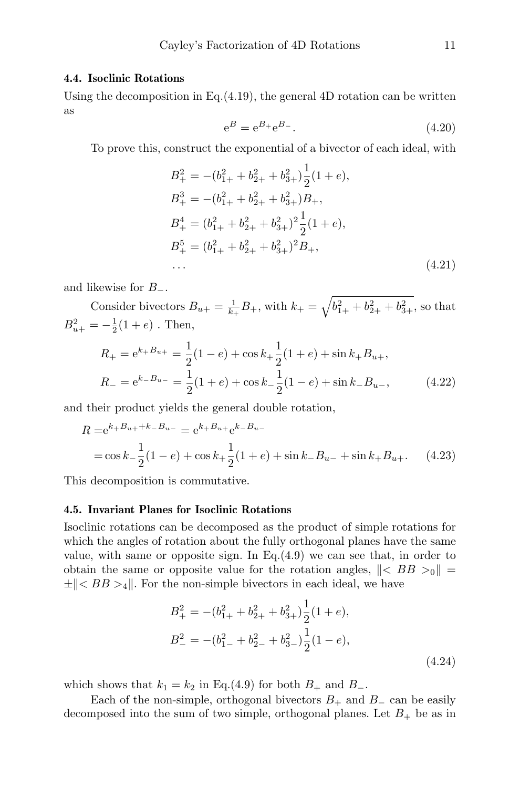#### 4.4. Isoclinic Rotations

Using the decomposition in Eq.  $(4.19)$ , the general 4D rotation can be written as

$$
e^{B} = e^{B_{+}} e^{B_{-}}.
$$
\n(4.20)

To prove this, construct the exponential of a bivector of each ideal, with

$$
B_{+}^{2} = -(b_{1+}^{2} + b_{2+}^{2} + b_{3+}^{2})\frac{1}{2}(1+e),
$$
  
\n
$$
B_{+}^{3} = -(b_{1+}^{2} + b_{2+}^{2} + b_{3+}^{2})B_{+},
$$
  
\n
$$
B_{+}^{4} = (b_{1+}^{2} + b_{2+}^{2} + b_{3+}^{2})^{2}\frac{1}{2}(1+e),
$$
  
\n
$$
B_{+}^{5} = (b_{1+}^{2} + b_{2+}^{2} + b_{3+}^{2})^{2}B_{+},
$$
  
\n... (4.21)

and likewise for  $B_-\,$ .

Consider bivectors  $B_{u+} = \frac{1}{k_+} B_+$ , with  $k_+ = \sqrt{b_{1+}^2 + b_{2+}^2 + b_{3+}^2}$ , so that  $B_{u+}^2 = -\frac{1}{2}(1+e)$ . Then,

$$
R_{+} = e^{k_{+}B_{u+}} = \frac{1}{2}(1-e) + \cos k_{+} \frac{1}{2}(1+e) + \sin k_{+}B_{u+},
$$
  
\n
$$
R_{-} = e^{k_{-}B_{u-}} = \frac{1}{2}(1+e) + \cos k_{-} \frac{1}{2}(1-e) + \sin k_{-}B_{u-},
$$
\n(4.22)

and their product yields the general double rotation,

$$
R = e^{k+B_{u+}+k-B_{u-}} = e^{k+B_{u+}}e^{k-B_{u-}}
$$
  
= cos k<sub>-</sub>  $\frac{1}{2}$ (1 - e) + cos k<sub>+</sub>  $\frac{1}{2}$ (1 + e) + sin k<sub>-</sub>B<sub>u-</sub> + sin k<sub>+</sub>B<sub>u+</sub>. (4.23)

This decomposition is commutative.

#### 4.5. Invariant Planes for Isoclinic Rotations

Isoclinic rotations can be decomposed as the product of simple rotations for which the angles of rotation about the fully orthogonal planes have the same value, with same or opposite sign. In Eq. $(4.9)$  we can see that, in order to obtain the same or opposite value for the rotation angles,  $\| \langle BB \rangle >0 \|$  $\pm \| < BB >_4 \|$ . For the non-simple bivectors in each ideal, we have

$$
B_{+}^{2} = -(b_{1+}^{2} + b_{2+}^{2} + b_{3+}^{2})\frac{1}{2}(1+e),
$$
  
\n
$$
B_{-}^{2} = -(b_{1-}^{2} + b_{2-}^{2} + b_{3-}^{2})\frac{1}{2}(1-e),
$$
  
\n(4.24)

which shows that  $k_1 = k_2$  in Eq.(4.9) for both  $B_+$  and  $B_-$ .

Each of the non-simple, orthogonal bivectors  $B_+$  and  $B_-\$  can be easily decomposed into the sum of two simple, orthogonal planes. Let  $B_+$  be as in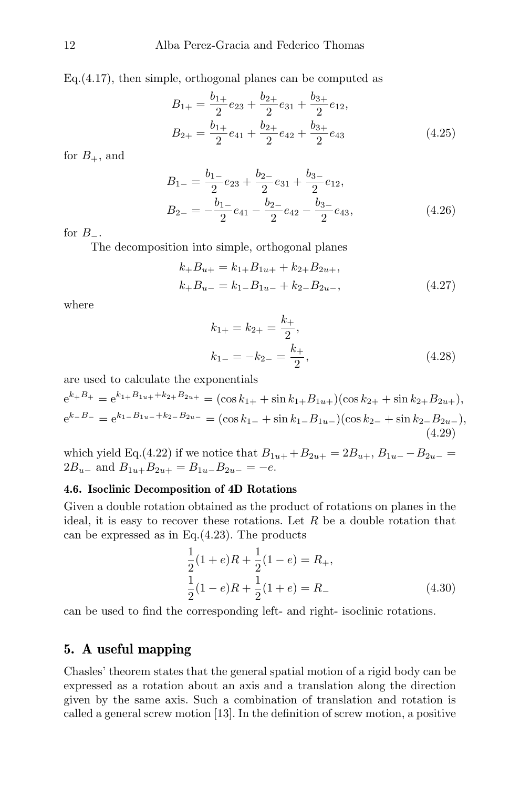Eq.(4.17), then simple, orthogonal planes can be computed as

$$
B_{1+} = \frac{b_{1+}}{2}e_{23} + \frac{b_{2+}}{2}e_{31} + \frac{b_{3+}}{2}e_{12},
$$
  
\n
$$
B_{2+} = \frac{b_{1+}}{2}e_{41} + \frac{b_{2+}}{2}e_{42} + \frac{b_{3+}}{2}e_{43}
$$
\n(4.25)

for  $B_+$ , and

$$
B_{1-} = \frac{b_{1-}}{2}e_{23} + \frac{b_{2-}}{2}e_{31} + \frac{b_{3-}}{2}e_{12},
$$
  
\n
$$
B_{2-} = -\frac{b_{1-}}{2}e_{41} - \frac{b_{2-}}{2}e_{42} - \frac{b_{3-}}{2}e_{43},
$$
\n(4.26)

for  $B_$ .

The decomposition into simple, orthogonal planes

$$
k_{+}B_{u+} = k_{1+}B_{1u+} + k_{2+}B_{2u+},
$$
  
\n
$$
k_{+}B_{u-} = k_{1-}B_{1u-} + k_{2-}B_{2u-},
$$
\n(4.27)

where

$$
k_{1+} = k_{2+} = \frac{k_+}{2},
$$
  
\n
$$
k_{1-} = -k_{2-} = \frac{k_+}{2},
$$
\n(4.28)

are used to calculate the exponentials

$$
e^{k+B_{+}} = e^{k_{1}+B_{1u+}+k_{2}+B_{2u+}} = (\cos k_{1+} + \sin k_{1+}B_{1u+}) (\cos k_{2+} + \sin k_{2+}B_{2u+}),
$$
  
\n
$$
e^{k-B_{-}} = e^{k_{1-}B_{1u-}+k_{2-}B_{2u-}} = (\cos k_{1-} + \sin k_{1-}B_{1u-}) (\cos k_{2-} + \sin k_{2-}B_{2u-}),
$$
  
\n(4.29)

which yield Eq.(4.22) if we notice that  $B_{1u+} + B_{2u+} = 2B_{u+}$ ,  $B_{1u-} - B_{2u-} =$  $2B_{u-}$  and  $B_{1u+}B_{2u+} = B_{1u-}B_{2u-} = -e$ .

#### 4.6. Isoclinic Decomposition of 4D Rotations

Given a double rotation obtained as the product of rotations on planes in the ideal, it is easy to recover these rotations. Let  $R$  be a double rotation that can be expressed as in Eq.(4.23). The products

$$
\frac{1}{2}(1+e)R + \frac{1}{2}(1-e) = R_+, \n\frac{1}{2}(1-e)R + \frac{1}{2}(1+e) = R_-\n\tag{4.30}
$$

can be used to find the corresponding left- and right- isoclinic rotations.

# 5. A useful mapping

Chasles' theorem states that the general spatial motion of a rigid body can be expressed as a rotation about an axis and a translation along the direction given by the same axis. Such a combination of translation and rotation is called a general screw motion [13]. In the definition of screw motion, a positive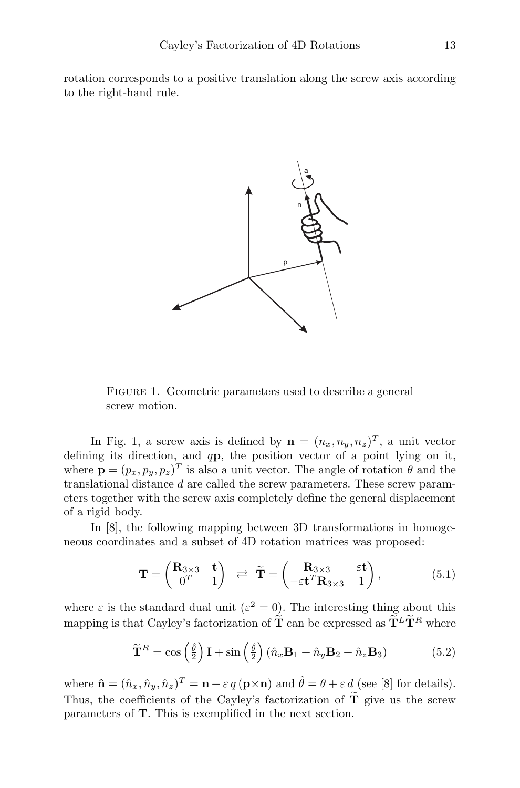rotation corresponds to a positive translation along the screw axis according to the right-hand rule.



FIGURE 1. Geometric parameters used to describe a general screw motion.

In Fig. 1, a screw axis is defined by  $\mathbf{n} = (n_x, n_y, n_z)^T$ , a unit vector defining its direction, and qp, the position vector of a point lying on it, where  $\mathbf{p} = (p_x, p_y, p_z)^T$  is also a unit vector. The angle of rotation  $\theta$  and the translational distance  $d$  are called the screw parameters. These screw parameters together with the screw axis completely define the general displacement of a rigid body.

In [8], the following mapping between 3D transformations in homogeneous coordinates and a subset of 4D rotation matrices was proposed:

$$
\mathbf{T} = \begin{pmatrix} \mathbf{R}_{3\times 3} & \mathbf{t} \\ 0^T & 1 \end{pmatrix} \quad \rightleftarrows \quad \widetilde{\mathbf{T}} = \begin{pmatrix} \mathbf{R}_{3\times 3} & \varepsilon \mathbf{t} \\ -\varepsilon \mathbf{t}^T \mathbf{R}_{3\times 3} & 1 \end{pmatrix},\tag{5.1}
$$

where  $\varepsilon$  is the standard dual unit  $(\varepsilon^2 = 0)$ . The interesting thing about this mapping is that Cayley's factorization of  $\tilde{T}$  can be expressed as  $\tilde{T}^L \tilde{T}^R$  where

$$
\widetilde{\mathbf{T}}^{R} = \cos\left(\frac{\hat{\theta}}{2}\right)\mathbf{I} + \sin\left(\frac{\hat{\theta}}{2}\right)\left(\hat{n}_{x}\mathbf{B}_{1} + \hat{n}_{y}\mathbf{B}_{2} + \hat{n}_{z}\mathbf{B}_{3}\right) \tag{5.2}
$$

where  $\hat{\mathbf{n}} = (\hat{n}_x, \hat{n}_y, \hat{n}_z)^T = \mathbf{n} + \varepsilon q (\mathbf{p} \times \mathbf{n})$  and  $\hat{\theta} = \theta + \varepsilon d$  (see [8] for details). Thus, the coefficients of the Cayley's factorization of  $\tilde{T}$  give us the screw parameters of T. This is exemplified in the next section.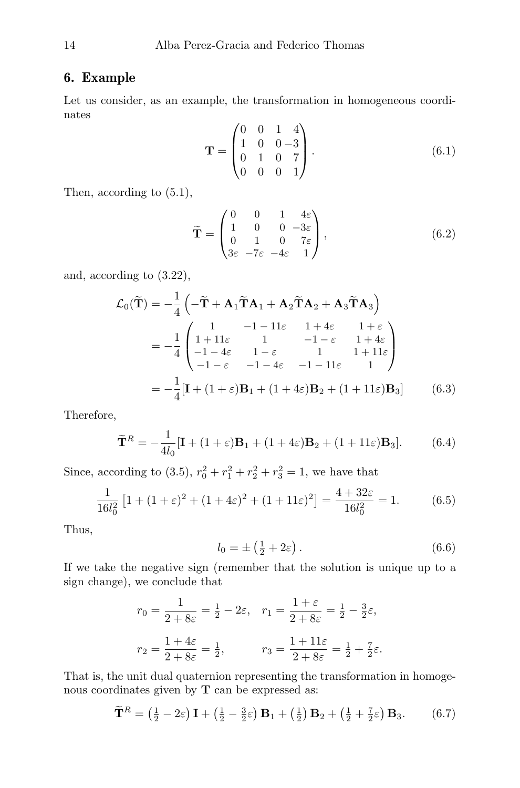# 6. Example

Let us consider, as an example, the transformation in homogeneous coordinates

$$
\mathbf{T} = \begin{pmatrix} 0 & 0 & 1 & 4 \\ 1 & 0 & 0 & -3 \\ 0 & 1 & 0 & 7 \\ 0 & 0 & 0 & 1 \end{pmatrix} . \tag{6.1}
$$

Then, according to (5.1),

$$
\widetilde{\mathbf{T}} = \begin{pmatrix} 0 & 0 & 1 & 4\varepsilon \\ 1 & 0 & 0 & -3\varepsilon \\ 0 & 1 & 0 & 7\varepsilon \\ 3\varepsilon & -7\varepsilon & -4\varepsilon & 1 \end{pmatrix},
$$
(6.2)

and, according to (3.22),

$$
\mathcal{L}_0(\tilde{\mathbf{T}}) = -\frac{1}{4} \left( -\tilde{\mathbf{T}} + \mathbf{A}_1 \tilde{\mathbf{T}} \mathbf{A}_1 + \mathbf{A}_2 \tilde{\mathbf{T}} \mathbf{A}_2 + \mathbf{A}_3 \tilde{\mathbf{T}} \mathbf{A}_3 \right)
$$
  
= 
$$
-\frac{1}{4} \begin{pmatrix} 1 & -1 - 11\varepsilon & 1 + 4\varepsilon & 1 + \varepsilon \\ 1 + 11\varepsilon & 1 & -1 - \varepsilon & 1 + 4\varepsilon \\ -1 - 4\varepsilon & 1 - \varepsilon & 1 & 1 + 11\varepsilon \\ -1 - \varepsilon & -1 - 4\varepsilon & -1 - 11\varepsilon & 1 \end{pmatrix}
$$
  
= 
$$
-\frac{1}{4} [\mathbf{I} + (1 + \varepsilon)\mathbf{B}_1 + (1 + 4\varepsilon)\mathbf{B}_2 + (1 + 11\varepsilon)\mathbf{B}_3] \qquad (6.3)
$$

Therefore,

$$
\widetilde{\mathbf{T}}^R = -\frac{1}{4l_0} [\mathbf{I} + (1+\varepsilon)\mathbf{B}_1 + (1+4\varepsilon)\mathbf{B}_2 + (1+11\varepsilon)\mathbf{B}_3].
$$
 (6.4)

Since, according to (3.5),  $r_0^2 + r_1^2 + r_2^2 + r_3^2 = 1$ , we have that

$$
\frac{1}{16l_0^2} \left[ 1 + (1 + \varepsilon)^2 + (1 + 4\varepsilon)^2 + (1 + 11\varepsilon)^2 \right] = \frac{4 + 32\varepsilon}{16l_0^2} = 1.
$$
 (6.5)

Thus,

$$
l_0 = \pm \left(\frac{1}{2} + 2\varepsilon\right). \tag{6.6}
$$

If we take the negative sign (remember that the solution is unique up to a sign change), we conclude that

$$
r_0 = \frac{1}{2 + 8\varepsilon} = \frac{1}{2} - 2\varepsilon, \quad r_1 = \frac{1 + \varepsilon}{2 + 8\varepsilon} = \frac{1}{2} - \frac{3}{2}\varepsilon,
$$
  

$$
r_2 = \frac{1 + 4\varepsilon}{2 + 8\varepsilon} = \frac{1}{2}, \qquad r_3 = \frac{1 + 11\varepsilon}{2 + 8\varepsilon} = \frac{1}{2} + \frac{7}{2}\varepsilon.
$$

That is, the unit dual quaternion representing the transformation in homogenous coordinates given by **T** can be expressed as:

$$
\widetilde{\mathbf{T}}^R = \left(\frac{1}{2} - 2\varepsilon\right)\mathbf{I} + \left(\frac{1}{2} - \frac{3}{2}\varepsilon\right)\mathbf{B}_1 + \left(\frac{1}{2}\right)\mathbf{B}_2 + \left(\frac{1}{2} + \frac{7}{2}\varepsilon\right)\mathbf{B}_3. \tag{6.7}
$$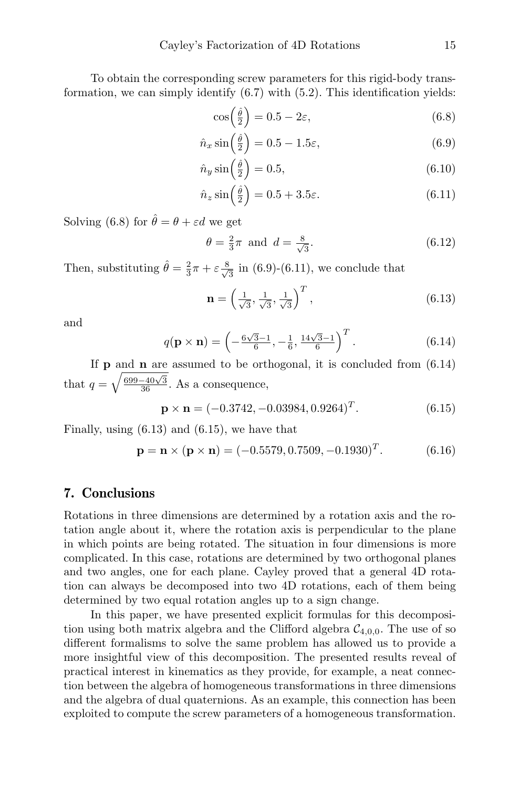To obtain the corresponding screw parameters for this rigid-body transformation, we can simply identify (6.7) with (5.2). This identification yields:

$$
\cos\left(\frac{\hat{\theta}}{2}\right) = 0.5 - 2\varepsilon,\tag{6.8}
$$

$$
\hat{n}_x \sin\left(\frac{\hat{\theta}}{2}\right) = 0.5 - 1.5\varepsilon,\tag{6.9}
$$

$$
\hat{n}_y \sin\left(\frac{\hat{\theta}}{2}\right) = 0.5, \tag{6.10}
$$

$$
\hat{n}_z \sin\left(\frac{\hat{\theta}}{2}\right) = 0.5 + 3.5\epsilon. \tag{6.11}
$$

Solving (6.8) for  $\hat{\theta} = \theta + \varepsilon d$  we get

$$
\theta = \frac{2}{3}\pi \text{ and } d = \frac{8}{\sqrt{3}}.\tag{6.12}
$$

Then, substituting  $\hat{\theta} = \frac{2}{3}\pi + \varepsilon \frac{8}{\sqrt{3}}$  $\frac{3}{3}$  in (6.9)-(6.11), we conclude that

$$
\mathbf{n} = \left(\frac{1}{\sqrt{3}}, \frac{1}{\sqrt{3}}, \frac{1}{\sqrt{3}}\right)^T, \tag{6.13}
$$

and

$$
q(\mathbf{p} \times \mathbf{n}) = \left(-\frac{6\sqrt{3}-1}{6}, -\frac{1}{6}, \frac{14\sqrt{3}-1}{6}\right)^{T}.
$$
 (6.14)

If  $p$  and  $n$  are assumed to be orthogonal, it is concluded from  $(6.14)$ that  $q = \sqrt{\frac{699 - 40\sqrt{3}}{36}}$ . As a consequence,

$$
\mathbf{p} \times \mathbf{n} = (-0.3742, -0.03984, 0.9264)^{T}.
$$
 (6.15)

Finally, using (6.13) and (6.15), we have that

$$
\mathbf{p} = \mathbf{n} \times (\mathbf{p} \times \mathbf{n}) = (-0.5579, 0.7509, -0.1930)^T.
$$
 (6.16)

# 7. Conclusions

Rotations in three dimensions are determined by a rotation axis and the rotation angle about it, where the rotation axis is perpendicular to the plane in which points are being rotated. The situation in four dimensions is more complicated. In this case, rotations are determined by two orthogonal planes and two angles, one for each plane. Cayley proved that a general 4D rotation can always be decomposed into two 4D rotations, each of them being determined by two equal rotation angles up to a sign change.

In this paper, we have presented explicit formulas for this decomposition using both matrix algebra and the Clifford algebra  $C_{4,0,0}$ . The use of so different formalisms to solve the same problem has allowed us to provide a more insightful view of this decomposition. The presented results reveal of practical interest in kinematics as they provide, for example, a neat connection between the algebra of homogeneous transformations in three dimensions and the algebra of dual quaternions. As an example, this connection has been exploited to compute the screw parameters of a homogeneous transformation.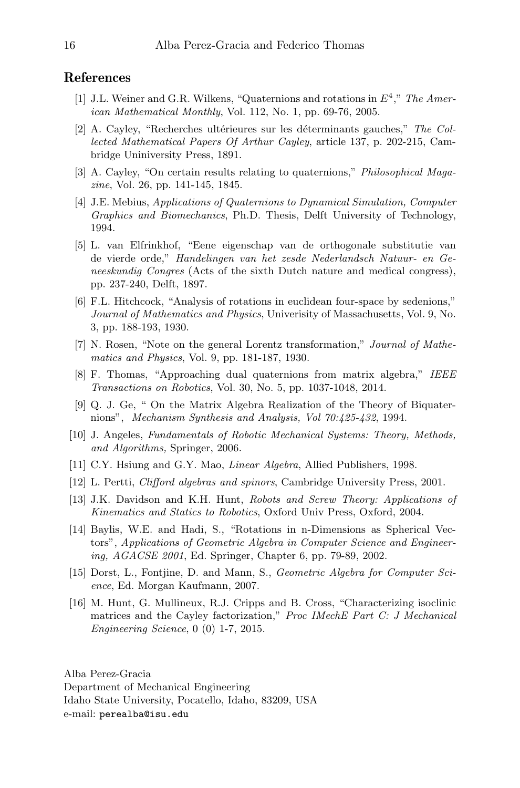# References

- [1] J.L. Weiner and G.R. Wilkens, "Quaternions and rotations in  $E^4$ ," The American Mathematical Monthly, Vol. 112, No. 1, pp. 69-76, 2005.
- [2] A. Cayley, "Recherches ultérieures sur les déterminants gauches," The Collected Mathematical Papers Of Arthur Cayley, article 137, p. 202-215, Cambridge Uniniversity Press, 1891.
- [3] A. Cayley, "On certain results relating to quaternions," *Philosophical Maga*zine, Vol. 26, pp. 141-145, 1845.
- [4] J.E. Mebius, Applications of Quaternions to Dynamical Simulation, Computer Graphics and Biomechanics, Ph.D. Thesis, Delft University of Technology, 1994.
- [5] L. van Elfrinkhof, "Eene eigenschap van de orthogonale substitutie van de vierde orde," Handelingen van het zesde Nederlandsch Natuur- en Geneeskundig Congres (Acts of the sixth Dutch nature and medical congress), pp. 237-240, Delft, 1897.
- [6] F.L. Hitchcock, "Analysis of rotations in euclidean four-space by sedenions," Journal of Mathematics and Physics, Univerisity of Massachusetts, Vol. 9, No. 3, pp. 188-193, 1930.
- [7] N. Rosen, "Note on the general Lorentz transformation," Journal of Mathematics and Physics, Vol. 9, pp. 181-187, 1930.
- [8] F. Thomas, "Approaching dual quaternions from matrix algebra," IEEE Transactions on Robotics, Vol. 30, No. 5, pp. 1037-1048, 2014.
- [9] Q. J. Ge, " On the Matrix Algebra Realization of the Theory of Biquaternions", Mechanism Synthesis and Analysis, Vol 70:425-432, 1994.
- [10] J. Angeles, Fundamentals of Robotic Mechanical Systems: Theory, Methods, and Algorithms, Springer, 2006.
- [11] C.Y. Hsiung and G.Y. Mao, *Linear Algebra*, Allied Publishers, 1998.
- [12] L. Pertti, Clifford algebras and spinors, Cambridge University Press, 2001.
- [13] J.K. Davidson and K.H. Hunt, Robots and Screw Theory: Applications of Kinematics and Statics to Robotics, Oxford Univ Press, Oxford, 2004.
- [14] Baylis, W.E. and Hadi, S., "Rotations in n-Dimensions as Spherical Vectors", Applications of Geometric Algebra in Computer Science and Engineering, AGACSE 2001, Ed. Springer, Chapter 6, pp. 79-89, 2002.
- [15] Dorst, L., Fontjine, D. and Mann, S., Geometric Algebra for Computer Science, Ed. Morgan Kaufmann, 2007.
- [16] M. Hunt, G. Mullineux, R.J. Cripps and B. Cross, "Characterizing isoclinic matrices and the Cayley factorization," Proc IMechE Part C: J Mechanical Engineering Science, 0 (0) 1-7, 2015.

Alba Perez-Gracia Department of Mechanical Engineering Idaho State University, Pocatello, Idaho, 83209, USA e-mail: perealba@isu.edu